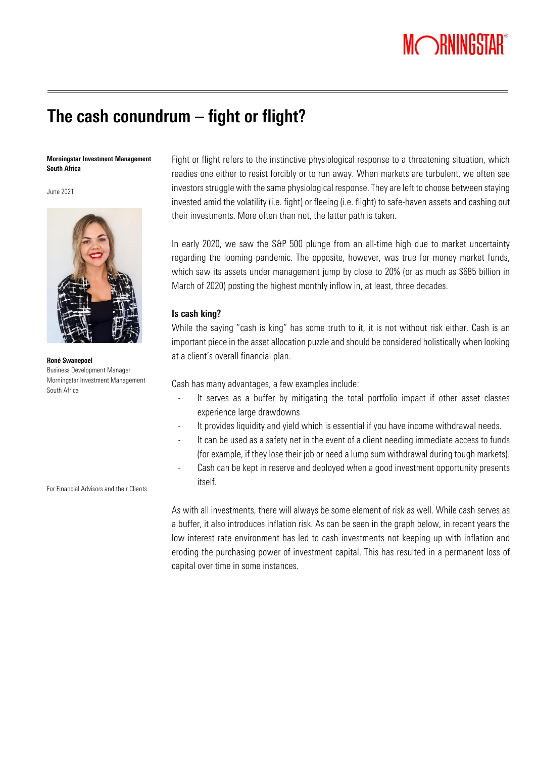

# The cash conundrum – fight or flight?

### Morningstar Investment Management South Africa

June 2021



Roné Swanepoel Business Development Manager Morningstar Investment Management South Africa

For Financial Advisors and their Clients

Fight or flight refers to the instinctive physiological response to a threatening situation, which readies one either to resist forcibly or to run away. When markets are turbulent, we often see investors struggle with the same physiological response. They are left to choose between staying invested amid the volatility (i.e. fight) or fleeing (i.e. flight) to safe-haven assets and cashing out their investments. More often than not, the latter path is taken.

In early 2020, we saw the S&P 500 plunge from an all-time high due to market uncertainty regarding the looming pandemic. The opposite, however, was true for money market funds, which saw its assets under management jump by close to 20% (or as much as \$685 billion in March of 2020) posting the highest monthly inflow in, at least, three decades.

## Is cash king?

While the saying "cash is king" has some truth to it, it is not without risk either. Cash is an important piece in the asset allocation puzzle and should be considered holistically when looking at a client's overall financial plan.

Cash has many advantages, a few examples include:

- It serves as a buffer by mitigating the total portfolio impact if other asset classes experience large drawdowns
- It provides liquidity and yield which is essential if you have income withdrawal needs.
- It can be used as a safety net in the event of a client needing immediate access to funds (for example, if they lose their job or need a lump sum withdrawal during tough markets).
- Cash can be kept in reserve and deployed when a good investment opportunity presents itself.

As with all investments, there will always be some element of risk as well. While cash serves as a buffer, it also introduces inflation risk. As can be seen in the graph below, in recent years the low interest rate environment has led to cash investments not keeping up with inflation and eroding the purchasing power of investment capital. This has resulted in a permanent loss of capital over time in some instances.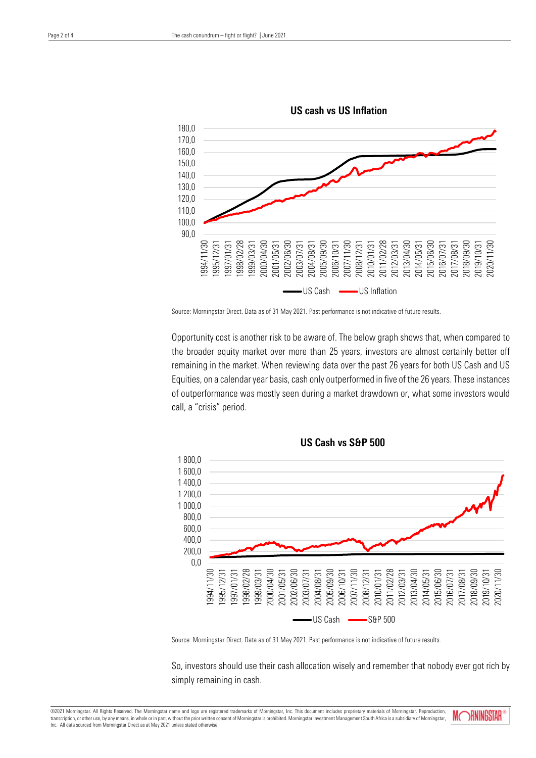



Opportunity cost is another risk to be aware of. The below graph shows that, when compared to the broader equity market over more than 25 years, investors are almost certainly better off remaining in the market. When reviewing data over the past 26 years for both US Cash and US Equities, on a calendar year basis, cash only outperformed in five of the 26 years. These instances of outperformance was mostly seen during a market drawdown or, what some investors would call, a "crisis" period.



US Cash vs S&P 500

Source: Morningstar Direct. Data as of 31 May 2021. Past performance is not indicative of future results.

So, investors should use their cash allocation wisely and remember that nobody ever got rich by simply remaining in cash.

©2021 Morningstar. All Rights Reserved. The Morningstar name and logo are registered trademarks of Morningstar, Inc. This document includes proprietary materials of Morningstar. Reproduction, transcription, or other use, by any means, in whole or in part, without the prior written consent of Morningstar is prohibited. Morningstar Investment Management South Africa is a subsidiary of Morningstar, Inc. All data sourced from Morningstar Direct as at May 2021 unless stated otherwise.

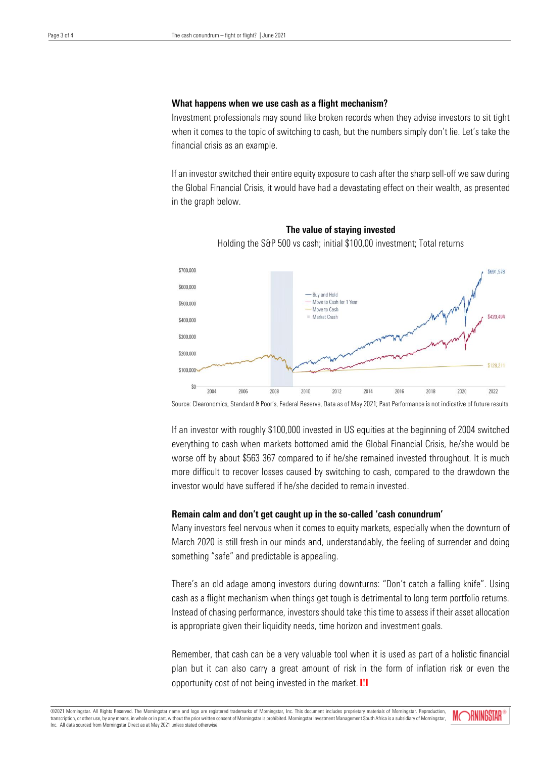## What happens when we use cash as a flight mechanism?

Investment professionals may sound like broken records when they advise investors to sit tight when it comes to the topic of switching to cash, but the numbers simply don't lie. Let's take the financial crisis as an example.

If an investor switched their entire equity exposure to cash after the sharp sell-off we saw during the Global Financial Crisis, it would have had a devastating effect on their wealth, as presented in the graph below.



The value of staying invested Holding the S&P 500 vs cash; initial \$100,00 investment; Total returns

Source: Clearonomics, Standard & Poor's, Federal Reserve, Data as of May 2021; Past Performance is not indicative of future results.

If an investor with roughly \$100,000 invested in US equities at the beginning of 2004 switched everything to cash when markets bottomed amid the Global Financial Crisis, he/she would be worse off by about \$563 367 compared to if he/she remained invested throughout. It is much more difficult to recover losses caused by switching to cash, compared to the drawdown the investor would have suffered if he/she decided to remain invested.

## Remain calm and don't get caught up in the so-called 'cash conundrum'

Many investors feel nervous when it comes to equity markets, especially when the downturn of March 2020 is still fresh in our minds and, understandably, the feeling of surrender and doing something "safe" and predictable is appealing.

There's an old adage among investors during downturns: "Don't catch a falling knife". Using cash as a flight mechanism when things get tough is detrimental to long term portfolio returns. Instead of chasing performance, investors should take this time to assess if their asset allocation is appropriate given their liquidity needs, time horizon and investment goals.

Remember, that cash can be a very valuable tool when it is used as part of a holistic financial plan but it can also carry a great amount of risk in the form of inflation risk or even the opportunity cost of not being invested in the market.  $M$ 

©2021 Morningstar. All Rights Reserved. The Morningstar name and logo are registered trademarks of Morningstar, Inc. This document includes proprietary materials of Morningstar. Reproduction transcription, or other use, by any means, in whole or in part, without the prior written consent of Morningstar is prohibited. Morningstar Investment Management South Africa is a subsidiary of Morningstar, Inc. All data sourced from Morningstar Direct as at May 2021 unless stated otherwise